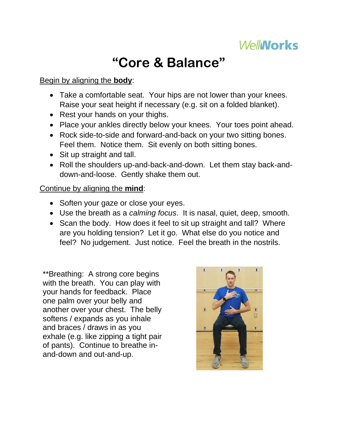

# **"Core & Balance"**

#### Begin by aligning the **body**:

- Take a comfortable seat. Your hips are not lower than your knees. Raise your seat height if necessary (e.g. sit on a folded blanket).
- Rest your hands on your thighs.
- Place your ankles directly below your knees. Your toes point ahead.
- Rock side-to-side and forward-and-back on your two sitting bones. Feel them. Notice them. Sit evenly on both sitting bones.
- Sit up straight and tall.
- Roll the shoulders up-and-back-and-down. Let them stay back-anddown-and-loose. Gently shake them out.

#### Continue by aligning the **mind**:

- Soften your gaze or close your eyes.
- Use the breath as a *calming focus*. It is nasal, quiet, deep, smooth.
- Scan the body. How does it feel to sit up straight and tall? Where are you holding tension? Let it go. What else do you notice and feel? No judgement. Just notice. Feel the breath in the nostrils.

\*\*Breathing: A strong core begins with the breath. You can play with your hands for feedback. Place one palm over your belly and another over your chest. The belly softens / expands as you inhale and braces / draws in as you exhale (e.g. like zipping a tight pair of pants). Continue to breathe inand-down and out-and-up.

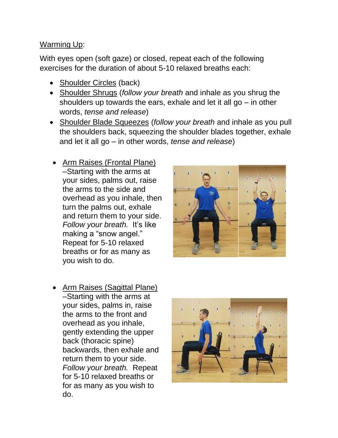#### Warming Up:

With eyes open (soft gaze) or closed, repeat each of the following exercises for the duration of about 5-10 relaxed breaths each:

- Shoulder Circles (back)
- Shoulder Shrugs (*follow your breath* and inhale as you shrug the shoulders up towards the ears, exhale and let it all go – in other words, *tense and release*)
- Shoulder Blade Squeezes (*follow your breath* and inhale as you pull the shoulders back, squeezing the shoulder blades together, exhale and let it all go – in other words, *tense and release*)
- Arm Raises (Frontal Plane) –Starting with the arms at your sides, palms out, raise the arms to the side and overhead as you inhale, then turn the palms out, exhale and return them to your side. *Follow your breath.* It's like making a "snow angel." Repeat for 5-10 relaxed breaths or for as many as you wish to do.



• Arm Raises (Sagittal Plane) –Starting with the arms at your sides, palms in, raise the arms to the front and overhead as you inhale, gently extending the upper back (thoracic spine) backwards, then exhale and return them to your side. *Follow your breath.* Repeat for 5-10 relaxed breaths or for as many as you wish to do.

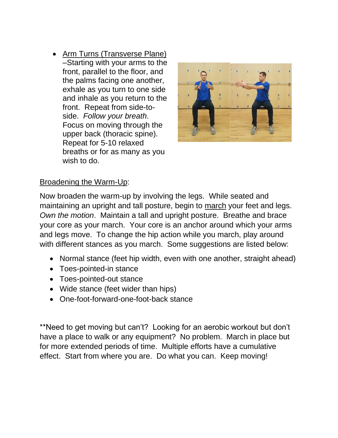• Arm Turns (Transverse Plane) –Starting with your arms to the front, parallel to the floor, and the palms facing one another, exhale as you turn to one side and inhale as you return to the front. Repeat from side-toside. *Follow your breath*. Focus on moving through the upper back (thoracic spine). Repeat for 5-10 relaxed breaths or for as many as you wish to do.



#### Broadening the Warm-Up:

Now broaden the warm-up by involving the legs. While seated and maintaining an upright and tall posture, begin to march your feet and legs. *Own the motion*. Maintain a tall and upright posture. Breathe and brace your core as your march. Your core is an anchor around which your arms and legs move. To change the hip action while you march, play around with different stances as you march. Some suggestions are listed below:

- Normal stance (feet hip width, even with one another, straight ahead)
- Toes-pointed-in stance
- Toes-pointed-out stance
- Wide stance (feet wider than hips)
- One-foot-forward-one-foot-back stance

\*\*Need to get moving but can't? Looking for an aerobic workout but don't have a place to walk or any equipment? No problem. March in place but for more extended periods of time. Multiple efforts have a cumulative effect. Start from where you are. Do what you can. Keep moving!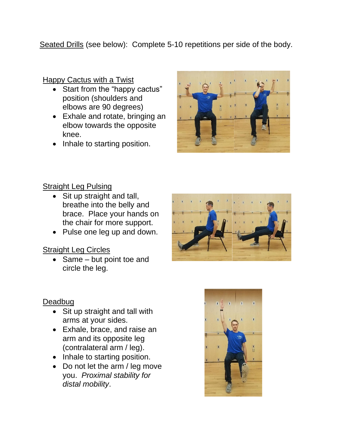Seated Drills (see below): Complete 5-10 repetitions per side of the body.

Happy Cactus with a Twist

- Start from the "happy cactus" position (shoulders and elbows are 90 degrees)
- Exhale and rotate, bringing an elbow towards the opposite knee.
- Inhale to starting position.



## Straight Leg Pulsing

- Sit up straight and tall, breathe into the belly and brace. Place your hands on the chair for more support.
- Pulse one leg up and down.

## Straight Leg Circles

• Same – but point toe and circle the leg.



#### **Deadbug**

- Sit up straight and tall with arms at your sides.
- Exhale, brace, and raise an arm and its opposite leg (contralateral arm / leg).
- Inhale to starting position.
- Do not let the arm / leg move you. *Proximal stability for distal mobility*.

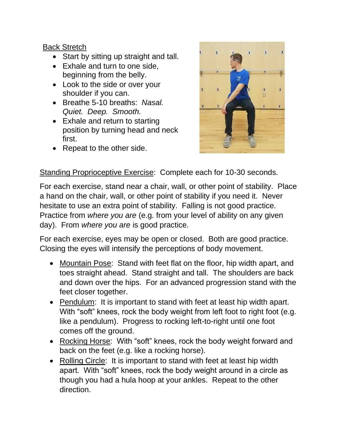## Back Stretch

- Start by sitting up straight and tall.
- Exhale and turn to one side, beginning from the belly.
- Look to the side or over your shoulder if you can.
- Breathe 5-10 breaths: *Nasal. Quiet. Deep. Smooth.*
- Exhale and return to starting position by turning head and neck first.
- Repeat to the other side.



Standing Proprioceptive Exercise: Complete each for 10-30 seconds.

For each exercise, stand near a chair, wall, or other point of stability. Place a hand on the chair, wall, or other point of stability if you need it. Never hesitate to use an extra point of stability. Falling is not good practice. Practice from *where you are* (e.g. from your level of ability on any given day). From *where you are* is good practice.

For each exercise, eyes may be open or closed. Both are good practice. Closing the eyes will intensify the perceptions of body movement.

- Mountain Pose: Stand with feet flat on the floor, hip width apart, and toes straight ahead. Stand straight and tall. The shoulders are back and down over the hips. For an advanced progression stand with the feet closer together.
- Pendulum: It is important to stand with feet at least hip width apart. With "soft" knees, rock the body weight from left foot to right foot (e.g. like a pendulum). Progress to rocking left-to-right until one foot comes off the ground.
- Rocking Horse: With "soft" knees, rock the body weight forward and back on the feet (e.g. like a rocking horse).
- Rolling Circle: It is important to stand with feet at least hip width apart. With "soft" knees, rock the body weight around in a circle as though you had a hula hoop at your ankles. Repeat to the other direction.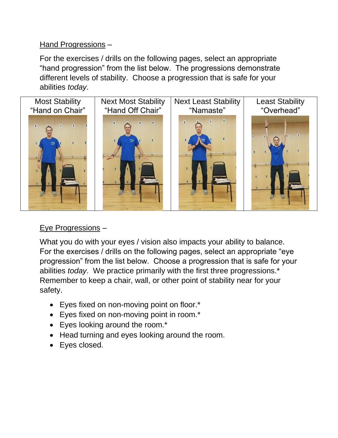#### Hand Progressions –

For the exercises / drills on the following pages, select an appropriate "hand progression" from the list below. The progressions demonstrate different levels of stability. Choose a progression that is safe for your abilities *today*.



# Eye Progressions –

What you do with your eyes / vision also impacts your ability to balance. For the exercises / drills on the following pages, select an appropriate "eye progression" from the list below. Choose a progression that is safe for your abilities *today*. We practice primarily with the first three progressions.\* Remember to keep a chair, wall, or other point of stability near for your safety.

- Eyes fixed on non-moving point on floor.\*
- Eyes fixed on non-moving point in room.\*
- Eyes looking around the room.\*
- Head turning and eyes looking around the room.
- Eyes closed.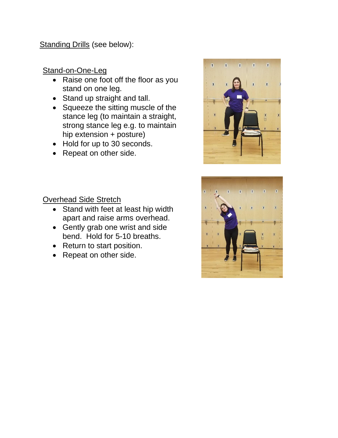Standing Drills (see below):

# Stand-on-One-Leg

- Raise one foot off the floor as you stand on one leg.
- Stand up straight and tall.
- Squeeze the sitting muscle of the stance leg (to maintain a straight, strong stance leg e.g. to maintain hip extension + posture)
- Hold for up to 30 seconds.
- Repeat on other side.





- Stand with feet at least hip width apart and raise arms overhead.
- Gently grab one wrist and side bend. Hold for 5-10 breaths.
- Return to start position.
- Repeat on other side.

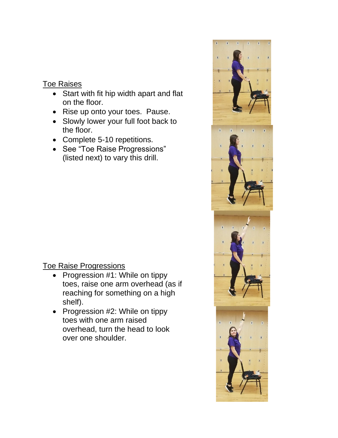#### Toe Raises

- Start with fit hip width apart and flat on the floor.
- Rise up onto your toes. Pause.
- Slowly lower your full foot back to the floor.
- Complete 5-10 repetitions.
- See "Toe Raise Progressions" (listed next) to vary this drill.

## Toe Raise Progressions

- Progression #1: While on tippy toes, raise one arm overhead (as if reaching for something on a high shelf).
- Progression #2: While on tippy toes with one arm raised overhead, turn the head to look over one shoulder.

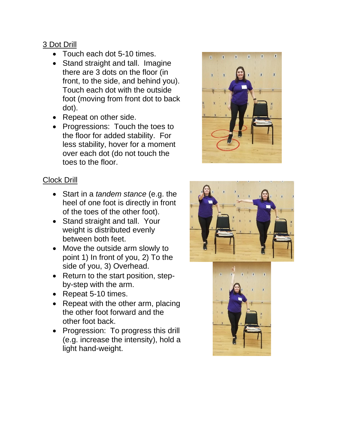## 3 Dot Drill

- Touch each dot 5-10 times.
- Stand straight and tall. Imagine there are 3 dots on the floor (in front, to the side, and behind you). Touch each dot with the outside foot (moving from front dot to back dot).
- Repeat on other side.
- Progressions: Touch the toes to the floor for added stability. For less stability, hover for a moment over each dot (do not touch the toes to the floor.

# Clock Drill

- Start in a *tandem stance* (e.g. the heel of one foot is directly in front of the toes of the other foot).
- Stand straight and tall. Your weight is distributed evenly between both feet.
- Move the outside arm slowly to point 1) In front of you, 2) To the side of you, 3) Overhead.
- Return to the start position, stepby-step with the arm.
- Repeat 5-10 times.
- Repeat with the other arm, placing the other foot forward and the other foot back.
- Progression: To progress this drill (e.g. increase the intensity), hold a light hand-weight.





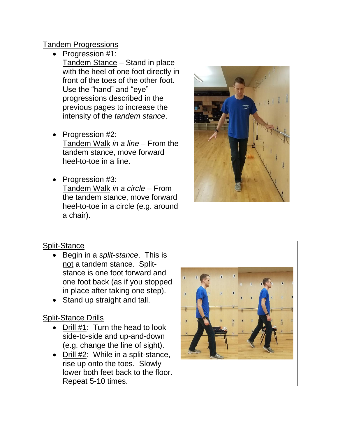#### Tandem Progressions

- Progression #1: Tandem Stance – Stand in place with the heel of one foot directly in front of the toes of the other foot. Use the "hand" and "eye" progressions described in the previous pages to increase the intensity of the *tandem stance*.
- Progression #2: Tandem Walk *in a line –* From the tandem stance, move forward heel-to-toe in a line.
- Progression #3: Tandem Walk *in a circle* – From the tandem stance, move forward heel-to-toe in a circle (e.g. around a chair).



## Split-Stance

- Begin in a *split-stance*. This is not a tandem stance. Splitstance is one foot forward and one foot back (as if you stopped in place after taking one step).
- Stand up straight and tall.

## Split-Stance Drills

- Drill #1: Turn the head to look side-to-side and up-and-down (e.g. change the line of sight).
- Drill #2: While in a split-stance, rise up onto the toes. Slowly lower both feet back to the floor. Repeat 5-10 times.

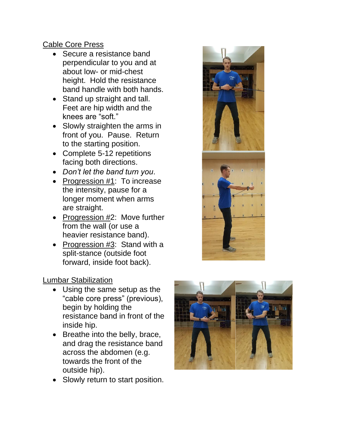#### Cable Core Press

- Secure a resistance band perpendicular to you and at about low- or mid-chest height. Hold the resistance band handle with both hands.
- Stand up straight and tall. Feet are hip width and the knees are "soft."
- Slowly straighten the arms in front of you. Pause. Return to the starting position.
- Complete 5-12 repetitions facing both directions.
- *Don't let the band turn you*.
- Progression #1: To increase the intensity, pause for a longer moment when arms are straight.
- Progression #2: Move further from the wall (or use a heavier resistance band).
- Progression #3: Stand with a split-stance (outside foot forward, inside foot back).

## Lumbar Stabilization

- Using the same setup as the "cable core press" (previous), begin by holding the resistance band in front of the inside hip.
- Breathe into the belly, brace, and drag the resistance band across the abdomen (e.g. towards the front of the outside hip).
- Slowly return to start position.